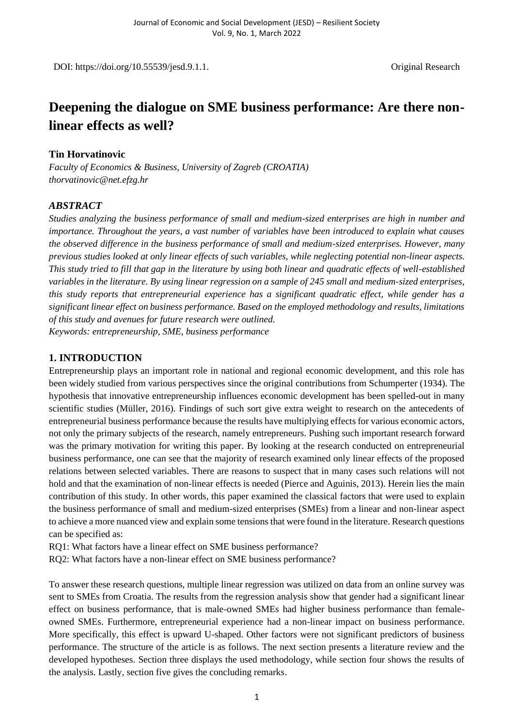DOI: https://doi.org/10.55539/jesd.9.1.1. Common Contract Contract Contract Contract Contract Contract Contract Contract Contract Contract Contract Contract Contract Contract Contract Contract Contract Contract Contract Co

# **Deepening the dialogue on SME business performance: Are there nonlinear effects as well?**

#### **Tin Horvatinovic**

*Faculty of Economics & Business, University of Zagreb (CROATIA) thorvatinovic@net.efzg.hr*

## *ABSTRACT*

*Studies analyzing the business performance of small and medium-sized enterprises are high in number and importance. Throughout the years, a vast number of variables have been introduced to explain what causes the observed difference in the business performance of small and medium-sized enterprises. However, many previous studies looked at only linear effects of such variables, while neglecting potential non-linear aspects. This study tried to fill that gap in the literature by using both linear and quadratic effects of well-established variables in the literature. By using linear regression on a sample of 245 small and medium-sized enterprises, this study reports that entrepreneurial experience has a significant quadratic effect, while gender has a significant linear effect on business performance. Based on the employed methodology and results, limitations of this study and avenues for future research were outlined. Keywords: entrepreneurship, SME, business performance*

## **1. INTRODUCTION**

Entrepreneurship plays an important role in national and regional economic development, and this role has been widely studied from various perspectives since the original contributions from Schumperter (1934). The hypothesis that innovative entrepreneurship influences economic development has been spelled-out in many scientific studies (Müller, 2016). Findings of such sort give extra weight to research on the antecedents of entrepreneurial business performance because the results have multiplying effects for various economic actors, not only the primary subjects of the research, namely entrepreneurs. Pushing such important research forward was the primary motivation for writing this paper. By looking at the research conducted on entrepreneurial business performance, one can see that the majority of research examined only linear effects of the proposed relations between selected variables. There are reasons to suspect that in many cases such relations will not hold and that the examination of non-linear effects is needed (Pierce and Aguinis, 2013). Herein lies the main contribution of this study. In other words, this paper examined the classical factors that were used to explain the business performance of small and medium-sized enterprises (SMEs) from a linear and non-linear aspect to achieve a more nuanced view and explain some tensions that were found in the literature. Research questions can be specified as:

RQ1: What factors have a linear effect on SME business performance?

RQ2: What factors have a non-linear effect on SME business performance?

To answer these research questions, multiple linear regression was utilized on data from an online survey was sent to SMEs from Croatia. The results from the regression analysis show that gender had a significant linear effect on business performance, that is male-owned SMEs had higher business performance than femaleowned SMEs. Furthermore, entrepreneurial experience had a non-linear impact on business performance. More specifically, this effect is upward U-shaped. Other factors were not significant predictors of business performance. The structure of the article is as follows. The next section presents a literature review and the developed hypotheses. Section three displays the used methodology, while section four shows the results of the analysis. Lastly, section five gives the concluding remarks.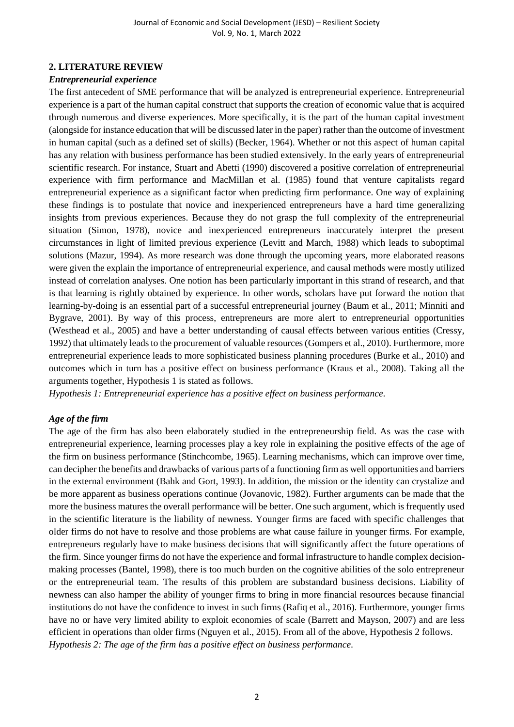## **2. LITERATURE REVIEW**

## *Entrepreneurial experience*

The first antecedent of SME performance that will be analyzed is entrepreneurial experience. Entrepreneurial experience is a part of the human capital construct that supports the creation of economic value that is acquired through numerous and diverse experiences. More specifically, it is the part of the human capital investment (alongside for instance education that will be discussed later in the paper) rather than the outcome of investment in human capital (such as a defined set of skills) (Becker, 1964). Whether or not this aspect of human capital has any relation with business performance has been studied extensively. In the early years of entrepreneurial scientific research. For instance, Stuart and Abetti (1990) discovered a positive correlation of entrepreneurial experience with firm performance and MacMillan et al. (1985) found that venture capitalists regard entrepreneurial experience as a significant factor when predicting firm performance. One way of explaining these findings is to postulate that novice and inexperienced entrepreneurs have a hard time generalizing insights from previous experiences. Because they do not grasp the full complexity of the entrepreneurial situation (Simon, 1978), novice and inexperienced entrepreneurs inaccurately interpret the present circumstances in light of limited previous experience (Levitt and March, 1988) which leads to suboptimal solutions (Mazur, 1994). As more research was done through the upcoming years, more elaborated reasons were given the explain the importance of entrepreneurial experience, and causal methods were mostly utilized instead of correlation analyses. One notion has been particularly important in this strand of research, and that is that learning is rightly obtained by experience. In other words, scholars have put forward the notion that learning-by-doing is an essential part of a successful entrepreneurial journey (Baum et al., 2011; Minniti and Bygrave, 2001). By way of this process, entrepreneurs are more alert to entrepreneurial opportunities (Westhead et al., 2005) and have a better understanding of causal effects between various entities (Cressy, 1992) that ultimately leads to the procurement of valuable resources (Gompers et al., 2010). Furthermore, more entrepreneurial experience leads to more sophisticated business planning procedures (Burke et al., 2010) and outcomes which in turn has a positive effect on business performance (Kraus et al., 2008). Taking all the arguments together, Hypothesis 1 is stated as follows.

*Hypothesis 1: Entrepreneurial experience has a positive effect on business performance.*

#### *Age of the firm*

The age of the firm has also been elaborately studied in the entrepreneurship field. As was the case with entrepreneurial experience, learning processes play a key role in explaining the positive effects of the age of the firm on business performance (Stinchcombe, 1965). Learning mechanisms, which can improve over time, can decipher the benefits and drawbacks of various parts of a functioning firm as well opportunities and barriers in the external environment (Bahk and Gort, 1993). In addition, the mission or the identity can crystalize and be more apparent as business operations continue (Jovanovic, 1982). Further arguments can be made that the more the business matures the overall performance will be better. One such argument, which is frequently used in the scientific literature is the liability of newness. Younger firms are faced with specific challenges that older firms do not have to resolve and those problems are what cause failure in younger firms. For example, entrepreneurs regularly have to make business decisions that will significantly affect the future operations of the firm. Since younger firms do not have the experience and formal infrastructure to handle complex decisionmaking processes (Bantel, 1998), there is too much burden on the cognitive abilities of the solo entrepreneur or the entrepreneurial team. The results of this problem are substandard business decisions. Liability of newness can also hamper the ability of younger firms to bring in more financial resources because financial institutions do not have the confidence to invest in such firms (Rafiq et al., 2016). Furthermore, younger firms have no or have very limited ability to exploit economies of scale (Barrett and Mayson, 2007) and are less efficient in operations than older firms (Nguyen et al., 2015). From all of the above, Hypothesis 2 follows. *Hypothesis 2: The age of the firm has a positive effect on business performance.*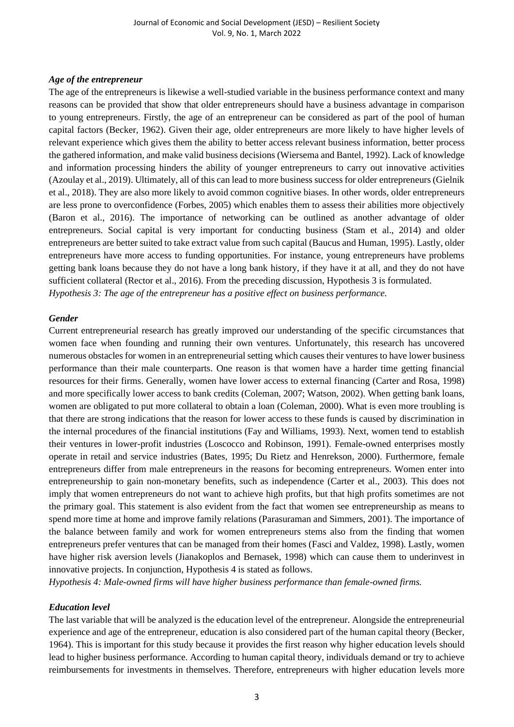#### *Age of the entrepreneur*

The age of the entrepreneurs is likewise a well-studied variable in the business performance context and many reasons can be provided that show that older entrepreneurs should have a business advantage in comparison to young entrepreneurs. Firstly, the age of an entrepreneur can be considered as part of the pool of human capital factors (Becker, 1962). Given their age, older entrepreneurs are more likely to have higher levels of relevant experience which gives them the ability to better access relevant business information, better process the gathered information, and make valid business decisions (Wiersema and Bantel, 1992). Lack of knowledge and information processing hinders the ability of younger entrepreneurs to carry out innovative activities (Azoulay et al., 2019). Ultimately, all of this can lead to more business success for older entrepreneurs (Gielnik et al., 2018). They are also more likely to avoid common cognitive biases. In other words, older entrepreneurs are less prone to overconfidence (Forbes, 2005) which enables them to assess their abilities more objectively (Baron et al., 2016). The importance of networking can be outlined as another advantage of older entrepreneurs. Social capital is very important for conducting business (Stam et al., 2014) and older entrepreneurs are better suited to take extract value from such capital (Baucus and Human, 1995). Lastly, older entrepreneurs have more access to funding opportunities. For instance, young entrepreneurs have problems getting bank loans because they do not have a long bank history, if they have it at all, and they do not have sufficient collateral (Rector et al., 2016). From the preceding discussion, Hypothesis 3 is formulated. *Hypothesis 3: The age of the entrepreneur has a positive effect on business performance.*

#### *Gender*

Current entrepreneurial research has greatly improved our understanding of the specific circumstances that women face when founding and running their own ventures. Unfortunately, this research has uncovered numerous obstacles for women in an entrepreneurial setting which causes their ventures to have lower business performance than their male counterparts. One reason is that women have a harder time getting financial resources for their firms. Generally, women have lower access to external financing (Carter and Rosa, 1998) and more specifically lower access to bank credits (Coleman, 2007; Watson, 2002). When getting bank loans, women are obligated to put more collateral to obtain a loan (Coleman, 2000). What is even more troubling is that there are strong indications that the reason for lower access to these funds is caused by discrimination in the internal procedures of the financial institutions (Fay and Williams, 1993). Next, women tend to establish their ventures in lower-profit industries (Loscocco and Robinson, 1991). Female-owned enterprises mostly operate in retail and service industries (Bates, 1995; Du Rietz and Henrekson, 2000). Furthermore, female entrepreneurs differ from male entrepreneurs in the reasons for becoming entrepreneurs. Women enter into entrepreneurship to gain non-monetary benefits, such as independence (Carter et al., 2003). This does not imply that women entrepreneurs do not want to achieve high profits, but that high profits sometimes are not the primary goal. This statement is also evident from the fact that women see entrepreneurship as means to spend more time at home and improve family relations (Parasuraman and Simmers, 2001). The importance of the balance between family and work for women entrepreneurs stems also from the finding that women entrepreneurs prefer ventures that can be managed from their homes (Fasci and Valdez, 1998). Lastly, women have higher risk aversion levels (Jianakoplos and Bernasek, 1998) which can cause them to underinvest in innovative projects. In conjunction, Hypothesis 4 is stated as follows.

*Hypothesis 4: Male-owned firms will have higher business performance than female-owned firms.*

#### *Education level*

The last variable that will be analyzed is the education level of the entrepreneur. Alongside the entrepreneurial experience and age of the entrepreneur, education is also considered part of the human capital theory (Becker, 1964). This is important for this study because it provides the first reason why higher education levels should lead to higher business performance. According to human capital theory, individuals demand or try to achieve reimbursements for investments in themselves. Therefore, entrepreneurs with higher education levels more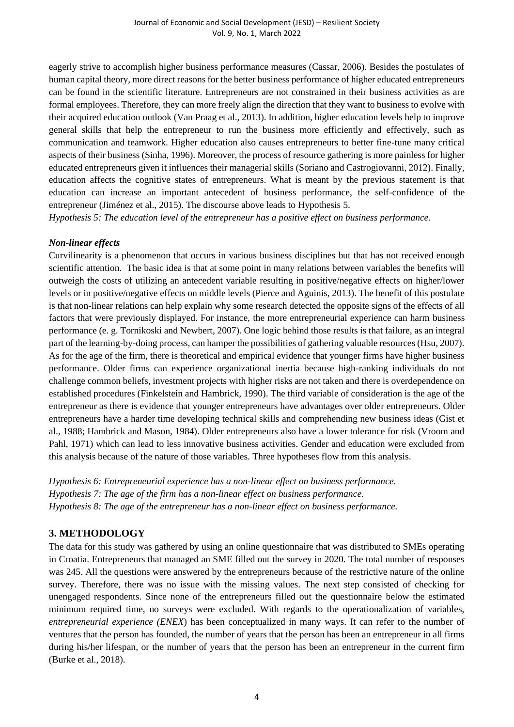eagerly strive to accomplish higher business performance measures (Cassar, 2006). Besides the postulates of human capital theory, more direct reasons for the better business performance of higher educated entrepreneurs can be found in the scientific literature. Entrepreneurs are not constrained in their business activities as are formal employees. Therefore, they can more freely align the direction that they want to business to evolve with their acquired education outlook (Van Praag et al., 2013). In addition, higher education levels help to improve general skills that help the entrepreneur to run the business more efficiently and effectively, such as communication and teamwork. Higher education also causes entrepreneurs to better fine-tune many critical aspects of their business (Sinha, 1996). Moreover, the process of resource gathering is more painless for higher educated entrepreneurs given it influences their managerial skills (Soriano and Castrogiovanni, 2012). Finally, education affects the cognitive states of entrepreneurs. What is meant by the previous statement is that education can increase an important antecedent of business performance, the self-confidence of the entrepreneur (Jiménez et al., 2015). The discourse above leads to Hypothesis 5.

*Hypothesis 5: The education level of the entrepreneur has a positive effect on business performance.*

#### *Non-linear effects*

Curvilinearity is a phenomenon that occurs in various business disciplines but that has not received enough scientific attention. The basic idea is that at some point in many relations between variables the benefits will outweigh the costs of utilizing an antecedent variable resulting in positive/negative effects on higher/lower levels or in positive/negative effects on middle levels (Pierce and Aguinis, 2013). The benefit of this postulate is that non-linear relations can help explain why some research detected the opposite signs of the effects of all factors that were previously displayed. For instance, the more entrepreneurial experience can harm business performance (e. g. Tornikoski and Newbert, 2007). One logic behind those results is that failure, as an integral part of the learning-by-doing process, can hamper the possibilities of gathering valuable resources (Hsu, 2007). As for the age of the firm, there is theoretical and empirical evidence that younger firms have higher business performance. Older firms can experience organizational inertia because high-ranking individuals do not challenge common beliefs, investment projects with higher risks are not taken and there is overdependence on established procedures (Finkelstein and Hambrick, 1990). The third variable of consideration is the age of the entrepreneur as there is evidence that younger entrepreneurs have advantages over older entrepreneurs. Older entrepreneurs have a harder time developing technical skills and comprehending new business ideas (Gist et al., 1988; Hambrick and Mason, 1984). Older entrepreneurs also have a lower tolerance for risk (Vroom and Pahl, 1971) which can lead to less innovative business activities. Gender and education were excluded from this analysis because of the nature of those variables. Three hypotheses flow from this analysis.

*Hypothesis 6: Entrepreneurial experience has a non-linear effect on business performance. Hypothesis 7: The age of the firm has a non-linear effect on business performance. Hypothesis 8: The age of the entrepreneur has a non-linear effect on business performance.*

# **3. METHODOLOGY**

The data for this study was gathered by using an online questionnaire that was distributed to SMEs operating in Croatia. Entrepreneurs that managed an SME filled out the survey in 2020. The total number of responses was 245. All the questions were answered by the entrepreneurs because of the restrictive nature of the online survey. Therefore, there was no issue with the missing values. The next step consisted of checking for unengaged respondents. Since none of the entrepreneurs filled out the questionnaire below the estimated minimum required time, no surveys were excluded. With regards to the operationalization of variables, *entrepreneurial experience (ENEX*) has been conceptualized in many ways. It can refer to the number of ventures that the person has founded, the number of years that the person has been an entrepreneur in all firms during his/her lifespan, or the number of years that the person has been an entrepreneur in the current firm (Burke et al., 2018).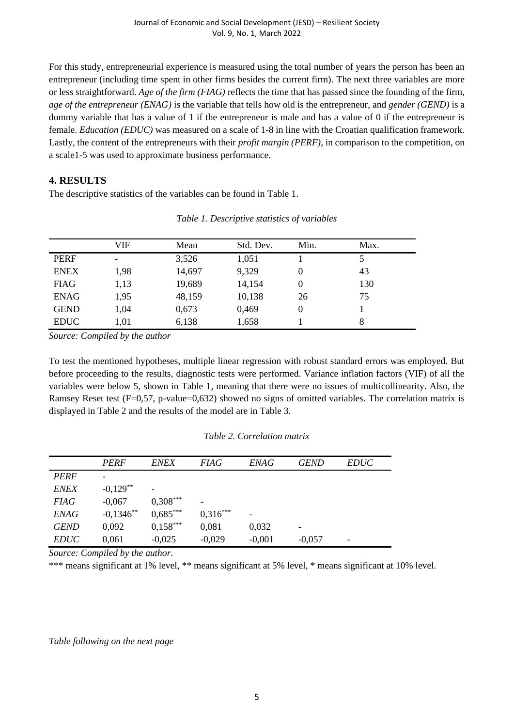For this study, entrepreneurial experience is measured using the total number of years the person has been an entrepreneur (including time spent in other firms besides the current firm). The next three variables are more or less straightforward. *Age of the firm (FIAG)* reflects the time that has passed since the founding of the firm, *age of the entrepreneur (ENAG)* is the variable that tells how old is the entrepreneur, and *gender (GEND)* is a dummy variable that has a value of 1 if the entrepreneur is male and has a value of 0 if the entrepreneur is female. *Education (EDUC)* was measured on a scale of 1-8 in line with the Croatian qualification framework. Lastly, the content of the entrepreneurs with their *profit margin (PERF)*, in comparison to the competition, on a scale1-5 was used to approximate business performance.

# **4. RESULTS**

The descriptive statistics of the variables can be found in Table 1.

|             | VIF  | Mean   | Std. Dev. | Min. | Max. |  |
|-------------|------|--------|-----------|------|------|--|
| <b>PERF</b> | ۰    | 3,526  | 1,051     |      |      |  |
| <b>ENEX</b> | 1,98 | 14,697 | 9,329     | O    | 43   |  |
| <b>FIAG</b> | 1,13 | 19,689 | 14,154    | 0    | 130  |  |
| <b>ENAG</b> | 1,95 | 48,159 | 10,138    | 26   | 75   |  |
| <b>GEND</b> | 1,04 | 0,673  | 0,469     | 0    |      |  |
| <b>EDUC</b> | 1,01 | 6,138  | 1,658     |      | 8    |  |

|  | Table 1. Descriptive statistics of variables |  |
|--|----------------------------------------------|--|
|  |                                              |  |

*Source: Compiled by the author*

To test the mentioned hypotheses, multiple linear regression with robust standard errors was employed. But before proceeding to the results, diagnostic tests were performed. Variance inflation factors (VIF) of all the variables were below 5, shown in Table 1, meaning that there were no issues of multicollinearity. Also, the Ramsey Reset test (F=0,57, p-value=0,632) showed no signs of omitted variables. The correlation matrix is displayed in Table 2 and the results of the model are in Table 3.

#### *Table 2. Correlation matrix*

|             | <b>PERF</b> | <b>ENEX</b> | <b>FIAG</b> | <b>ENAG</b> | <b>GEND</b> | <b>EDUC</b>              |  |
|-------------|-------------|-------------|-------------|-------------|-------------|--------------------------|--|
| <b>PERF</b> |             |             |             |             |             |                          |  |
| <b>ENEX</b> | $-0.129**$  |             |             |             |             |                          |  |
| <b>FIAG</b> | $-0,067$    | $0,308***$  | -           |             |             |                          |  |
| <b>ENAG</b> | $-0,1346**$ | $0,685***$  | $0,316***$  |             |             |                          |  |
| <b>GEND</b> | 0,092       | $0,158***$  | 0,081       | 0,032       |             |                          |  |
| <i>EDUC</i> | 0,061       | $-0,025$    | $-0,029$    | $-0,001$    | $-0,057$    | $\overline{\phantom{0}}$ |  |

*Source: Compiled by the author.*

\*\*\* means significant at 1% level, \*\* means significant at 5% level, \* means significant at 10% level.

*Table following on the next page*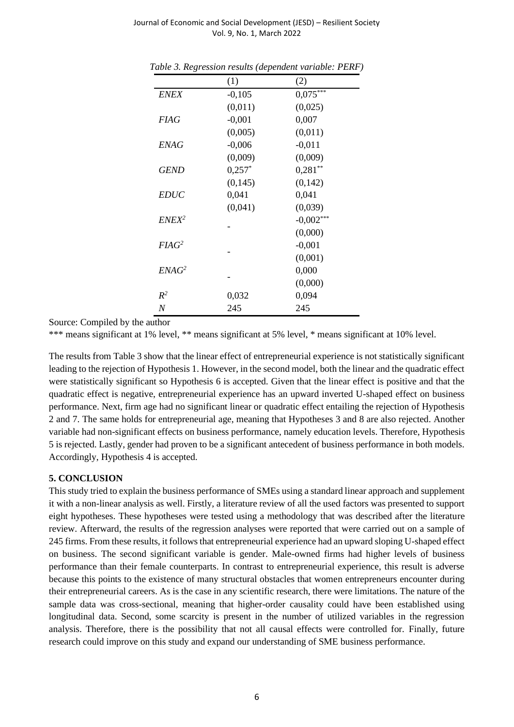Journal of Economic and Social Development (JESD) – Resilient Society Vol. 9, No. 1, March 2022

|             | (1)       | (2)         |
|-------------|-----------|-------------|
| ENEX        | $-0,105$  | $0,075***$  |
|             | (0,011)   | (0,025)     |
| <b>FIAG</b> | $-0,001$  | 0,007       |
|             | (0,005)   | (0,011)     |
| <i>ENAG</i> | $-0,006$  | $-0,011$    |
|             | (0,009)   | (0,009)     |
| <b>GEND</b> | $0,257^*$ | $0,281**$   |
|             | (0,145)   | (0,142)     |
| <i>EDUC</i> | 0,041     | 0,041       |
|             | (0,041)   | (0,039)     |
| $ENEX^2$    |           | $-0,002***$ |
|             |           | (0,000)     |
| $F I A G^2$ |           | $-0,001$    |
|             |           | (0,001)     |
| $E N A G^2$ |           | 0,000       |
|             |           | (0,000)     |
| $R^2$       | 0,032     | 0,094       |
| N           | 245       | 245         |

*Table 3. Regression results (dependent variable: PERF)*

Source: Compiled by the author

\*\*\* means significant at 1% level, \*\* means significant at 5% level, \* means significant at 10% level.

The results from Table 3 show that the linear effect of entrepreneurial experience is not statistically significant leading to the rejection of Hypothesis 1. However, in the second model, both the linear and the quadratic effect were statistically significant so Hypothesis 6 is accepted. Given that the linear effect is positive and that the quadratic effect is negative, entrepreneurial experience has an upward inverted U-shaped effect on business performance. Next, firm age had no significant linear or quadratic effect entailing the rejection of Hypothesis 2 and 7. The same holds for entrepreneurial age, meaning that Hypotheses 3 and 8 are also rejected. Another variable had non-significant effects on business performance, namely education levels. Therefore, Hypothesis 5 is rejected. Lastly, gender had proven to be a significant antecedent of business performance in both models. Accordingly, Hypothesis 4 is accepted.

#### **5. CONCLUSION**

This study tried to explain the business performance of SMEs using a standard linear approach and supplement it with a non-linear analysis as well. Firstly, a literature review of all the used factors was presented to support eight hypotheses. These hypotheses were tested using a methodology that was described after the literature review. Afterward, the results of the regression analyses were reported that were carried out on a sample of 245 firms. From these results, it follows that entrepreneurial experience had an upward sloping U-shaped effect on business. The second significant variable is gender. Male-owned firms had higher levels of business performance than their female counterparts. In contrast to entrepreneurial experience, this result is adverse because this points to the existence of many structural obstacles that women entrepreneurs encounter during their entrepreneurial careers. As is the case in any scientific research, there were limitations. The nature of the sample data was cross-sectional, meaning that higher-order causality could have been established using longitudinal data. Second, some scarcity is present in the number of utilized variables in the regression analysis. Therefore, there is the possibility that not all causal effects were controlled for. Finally, future research could improve on this study and expand our understanding of SME business performance.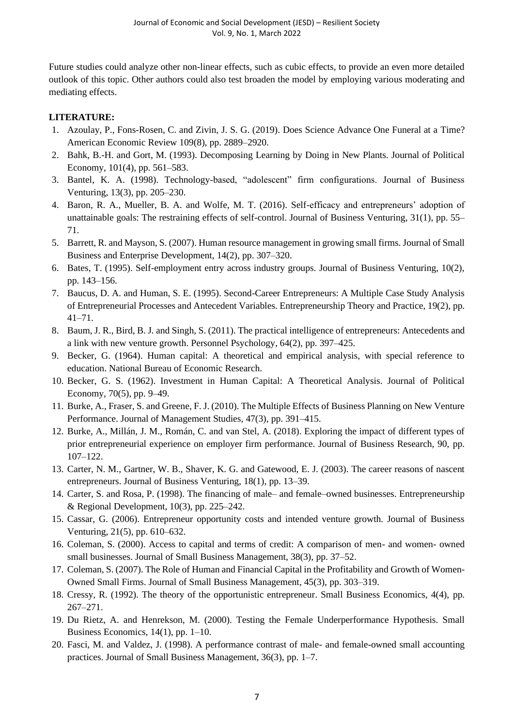Future studies could analyze other non-linear effects, such as cubic effects, to provide an even more detailed outlook of this topic. Other authors could also test broaden the model by employing various moderating and mediating effects.

# **LITERATURE:**

- 1. Azoulay, P., Fons-Rosen, C. and Zivin, J. S. G. (2019). Does Science Advance One Funeral at a Time? American Economic Review 109(8), pp. 2889–2920.
- 2. Bahk, B.-H. and Gort, M. (1993). Decomposing Learning by Doing in New Plants. Journal of Political Economy, 101(4), pp. 561–583.
- 3. Bantel, K. A. (1998). Technology-based, "adolescent" firm configurations. Journal of Business Venturing, 13(3), pp. 205–230.
- 4. Baron, R. A., Mueller, B. A. and Wolfe, M. T. (2016). Self-efficacy and entrepreneurs' adoption of unattainable goals: The restraining effects of self-control. Journal of Business Venturing, 31(1), pp. 55– 71.
- 5. Barrett, R. and Mayson, S. (2007). Human resource management in growing small firms. Journal of Small Business and Enterprise Development, 14(2), pp. 307–320.
- 6. Bates, T. (1995). Self-employment entry across industry groups. Journal of Business Venturing, 10(2), pp. 143–156.
- 7. Baucus, D. A. and Human, S. E. (1995). Second-Career Entrepreneurs: A Multiple Case Study Analysis of Entrepreneurial Processes and Antecedent Variables. Entrepreneurship Theory and Practice, 19(2), pp. 41–71.
- 8. Baum, J. R., Bird, B. J. and Singh, S. (2011). The practical intelligence of entrepreneurs: Antecedents and a link with new venture growth. Personnel Psychology, 64(2), pp. 397–425.
- 9. Becker, G. (1964). Human capital: A theoretical and empirical analysis, with special reference to education. National Bureau of Economic Research.
- 10. Becker, G. S. (1962). Investment in Human Capital: A Theoretical Analysis. Journal of Political Economy, 70(5), pp. 9–49.
- 11. Burke, A., Fraser, S. and Greene, F. J. (2010). The Multiple Effects of Business Planning on New Venture Performance. Journal of Management Studies, 47(3), pp. 391–415.
- 12. Burke, A., Millán, J. M., Román, C. and van Stel, A. (2018). Exploring the impact of different types of prior entrepreneurial experience on employer firm performance. Journal of Business Research, 90, pp. 107–122.
- 13. Carter, N. M., Gartner, W. B., Shaver, K. G. and Gatewood, E. J. (2003). The career reasons of nascent entrepreneurs. Journal of Business Venturing, 18(1), pp. 13–39.
- 14. Carter, S. and Rosa, P. (1998). The financing of male– and female–owned businesses. Entrepreneurship & Regional Development,  $10(3)$ , pp. 225–242.
- 15. Cassar, G. (2006). Entrepreneur opportunity costs and intended venture growth. Journal of Business Venturing, 21(5), pp. 610–632.
- 16. Coleman, S. (2000). Access to capital and terms of credit: A comparison of men- and women- owned small businesses. Journal of Small Business Management, 38(3), pp. 37–52.
- 17. Coleman, S. (2007). The Role of Human and Financial Capital in the Profitability and Growth of Women-Owned Small Firms. Journal of Small Business Management, 45(3), pp. 303–319.
- 18. Cressy, R. (1992). The theory of the opportunistic entrepreneur. Small Business Economics, 4(4), pp. 267–271.
- 19. Du Rietz, A. and Henrekson, M. (2000). Testing the Female Underperformance Hypothesis. Small Business Economics, 14(1), pp. 1–10.
- 20. Fasci, M. and Valdez, J. (1998). A performance contrast of male- and female-owned small accounting practices. Journal of Small Business Management, 36(3), pp. 1–7.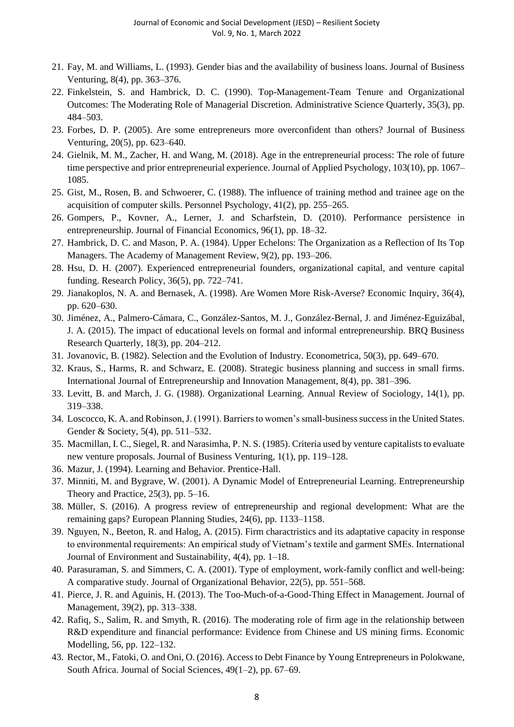- 21. Fay, M. and Williams, L. (1993). Gender bias and the availability of business loans. Journal of Business Venturing, 8(4), pp. 363–376.
- 22. Finkelstein, S. and Hambrick, D. C. (1990). Top-Management-Team Tenure and Organizational Outcomes: The Moderating Role of Managerial Discretion. Administrative Science Quarterly, 35(3), pp. 484–503.
- 23. Forbes, D. P. (2005). Are some entrepreneurs more overconfident than others? Journal of Business Venturing, 20(5), pp. 623–640.
- 24. Gielnik, M. M., Zacher, H. and Wang, M. (2018). Age in the entrepreneurial process: The role of future time perspective and prior entrepreneurial experience. Journal of Applied Psychology, 103(10), pp. 1067– 1085.
- 25. Gist, M., Rosen, B. and Schwoerer, C. (1988). The influence of training method and trainee age on the acquisition of computer skills. Personnel Psychology, 41(2), pp. 255–265.
- 26. Gompers, P., Kovner, A., Lerner, J. and Scharfstein, D. (2010). Performance persistence in entrepreneurship. Journal of Financial Economics, 96(1), pp. 18–32.
- 27. Hambrick, D. C. and Mason, P. A. (1984). Upper Echelons: The Organization as a Reflection of Its Top Managers. The Academy of Management Review, 9(2), pp. 193–206.
- 28. Hsu, D. H. (2007). Experienced entrepreneurial founders, organizational capital, and venture capital funding. Research Policy, 36(5), pp. 722–741.
- 29. Jianakoplos, N. A. and Bernasek, A. (1998). Are Women More Risk-Averse? Economic Inquiry, 36(4), pp. 620–630.
- 30. Jiménez, A., Palmero-Cámara, C., González-Santos, M. J., González-Bernal, J. and Jiménez-Eguizábal, J. A. (2015). The impact of educational levels on formal and informal entrepreneurship. BRQ Business Research Quarterly, 18(3), pp. 204–212.
- 31. Jovanovic, B. (1982). Selection and the Evolution of Industry. Econometrica, 50(3), pp. 649–670.
- 32. Kraus, S., Harms, R. and Schwarz, E. (2008). Strategic business planning and success in small firms. International Journal of Entrepreneurship and Innovation Management, 8(4), pp. 381–396.
- 33. Levitt, B. and March, J. G. (1988). Organizational Learning. Annual Review of Sociology, 14(1), pp. 319–338.
- 34. Loscocco, K. A. and Robinson, J. (1991). Barriers to women's small-business success in the United States. Gender & Society, 5(4), pp. 511–532.
- 35. Macmillan, I. C., Siegel, R. and Narasimha, P. N. S. (1985). Criteria used by venture capitalists to evaluate new venture proposals. Journal of Business Venturing, 1(1), pp. 119–128.
- 36. Mazur, J. (1994). Learning and Behavior. Prentice-Hall.
- 37. Minniti, M. and Bygrave, W. (2001). A Dynamic Model of Entrepreneurial Learning. Entrepreneurship Theory and Practice,  $25(3)$ , pp. 5–16.
- 38. Müller, S. (2016). A progress review of entrepreneurship and regional development: What are the remaining gaps? European Planning Studies, 24(6), pp. 1133–1158.
- 39. Nguyen, N., Beeton, R. and Halog, A. (2015). Firm charactristics and its adaptative capacity in response to environmental requirements: An empirical study of Vietnam's textile and garment SMEs. International Journal of Environment and Sustainability, 4(4), pp. 1–18.
- 40. Parasuraman, S. and Simmers, C. A. (2001). Type of employment, work-family conflict and well-being: A comparative study. Journal of Organizational Behavior, 22(5), pp. 551–568.
- 41. Pierce, J. R. and Aguinis, H. (2013). The Too-Much-of-a-Good-Thing Effect in Management. Journal of Management, 39(2), pp. 313–338.
- 42. Rafiq, S., Salim, R. and Smyth, R. (2016). The moderating role of firm age in the relationship between R&D expenditure and financial performance: Evidence from Chinese and US mining firms. Economic Modelling, 56, pp. 122–132.
- 43. Rector, M., Fatoki, O. and Oni, O. (2016). Access to Debt Finance by Young Entrepreneurs in Polokwane, South Africa. Journal of Social Sciences, 49(1–2), pp. 67–69.